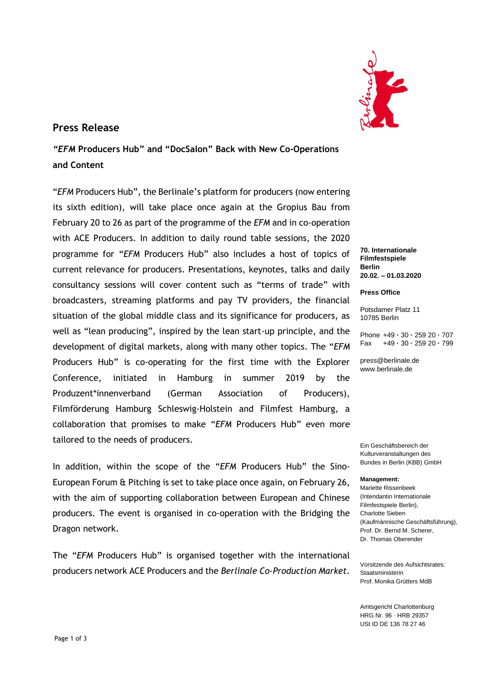

### **Press Release**

*"EFM* **Producers Hub" and "DocSalon" Back with New Co-Operations and Content** 

"*EFM* Producers Hub", the Berlinale's platform for producers (now entering its sixth edition), will take place once again at the Gropius Bau from February 20 to 26 as part of the programme of the *EFM* and in co-operation with ACE Producers. In addition to daily round table sessions, the 2020 programme for "*EFM* Producers Hub" also includes a host of topics of current relevance for producers. Presentations, keynotes, talks and daily consultancy sessions will cover content such as "terms of trade" with broadcasters, streaming platforms and pay TV providers, the financial situation of the global middle class and its significance for producers, as well as "lean producing", inspired by the lean start-up principle, and the development of digital markets, along with many other topics. The "*EFM*  Producers Hub" is co-operating for the first time with the Explorer Conference, initiated in Hamburg in summer 2019 by the Produzent\*innenverband (German Association of Producers), Filmförderung Hamburg Schleswig-Holstein and Filmfest Hamburg, a collaboration that promises to make "*EFM* Producers Hub" even more tailored to the needs of producers.

In addition, within the scope of the "*EFM* Producers Hub" the Sino-European Forum & Pitching is set to take place once again, on February 26, with the aim of supporting collaboration between European and Chinese producers. The event is organised in co-operation with the Bridging the Dragon network.

The "*EFM* Producers Hub" is organised together with the international producers network ACE Producers and the *Berlinale Co-Production Market*.

**70. Internationale Filmfestspiele Berlin 20.02. – 01.03.2020**

**Press Office**

Potsdamer Platz 11 10785 Berlin

Phone +49 **·** 30 **·** 259 20 **·** 707 Fax +49 **·** 30 **·** 259 20 **·** 799

press@berlinale.de www.berlinale.de

Ein Geschäftsbereich der Kulturveranstaltungen des Bundes in Berlin (KBB) GmbH

#### **Management:**

Mariette Rissenbeek (Intendantin Internationale Filmfestspiele Berlin), Charlotte Sieben (Kaufmännische Geschäftsführung), Prof. Dr. Bernd M. Scherer, Dr. Thomas Oberender

Vorsitzende des Aufsichtsrates: Staatsministerin Prof. Monika Grütters MdB

Amtsgericht Charlottenburg HRG Nr. 96 · HRB 29357 USt ID DE 136 78 27 46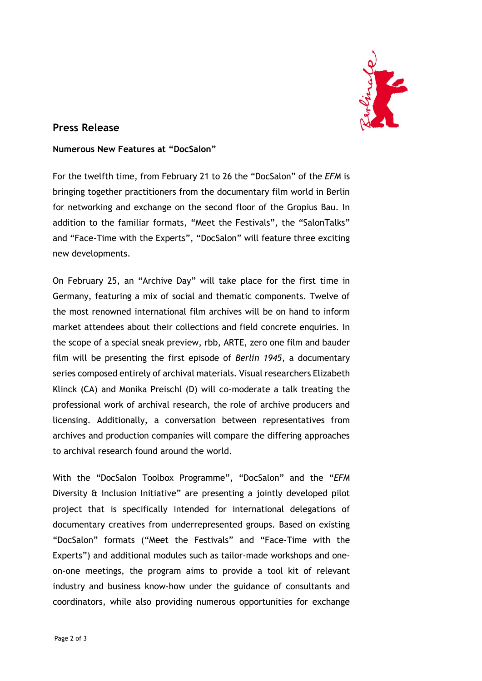

## **Press Release**

#### **Numerous New Features at "DocSalon"**

For the twelfth time, from February 21 to 26 the "DocSalon" of the *EFM* is bringing together practitioners from the documentary film world in Berlin for networking and exchange on the second floor of the Gropius Bau. In addition to the familiar formats, "Meet the Festivals", the "SalonTalks" and "Face-Time with the Experts", "DocSalon" will feature three exciting new developments.

On February 25, an "Archive Day" will take place for the first time in Germany, featuring a mix of social and thematic components. Twelve of the most renowned international film archives will be on hand to inform market attendees about their collections and field concrete enquiries. In the scope of a special sneak preview, rbb, ARTE, zero one film and bauder film will be presenting the first episode of *Berlin 1945*, a documentary series composed entirely of archival materials. Visual researchers Elizabeth Klinck (CA) and Monika Preischl (D) will co-moderate a talk treating the professional work of archival research, the role of archive producers and licensing. Additionally, a conversation between representatives from archives and production companies will compare the differing approaches to archival research found around the world.

With the "DocSalon Toolbox Programme", "DocSalon" and the "*EFM*  Diversity & Inclusion Initiative" are presenting a jointly developed pilot project that is specifically intended for international delegations of documentary creatives from underrepresented groups. Based on existing "DocSalon" formats ("Meet the Festivals" and "Face-Time with the Experts") and additional modules such as tailor-made workshops and oneon-one meetings, the program aims to provide a tool kit of relevant industry and business know-how under the guidance of consultants and coordinators, while also providing numerous opportunities for exchange